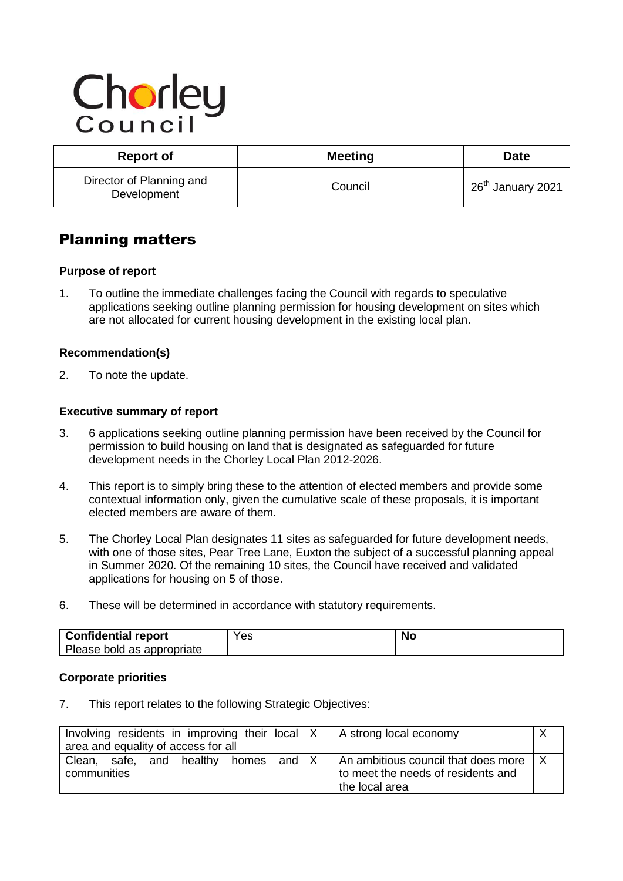# Chorley

| <b>Report of</b>                        | <b>Meeting</b> | <b>Date</b>                   |
|-----------------------------------------|----------------|-------------------------------|
| Director of Planning and<br>Development | Council        | 26 <sup>th</sup> January 2021 |

# Planning matters

# **Purpose of report**

1. To outline the immediate challenges facing the Council with regards to speculative applications seeking outline planning permission for housing development on sites which are not allocated for current housing development in the existing local plan.

# **Recommendation(s)**

2. To note the update.

# **Executive summary of report**

- 3. 6 applications seeking outline planning permission have been received by the Council for permission to build housing on land that is designated as safeguarded for future development needs in the Chorley Local Plan 2012-2026.
- 4. This report is to simply bring these to the attention of elected members and provide some contextual information only, given the cumulative scale of these proposals, it is important elected members are aware of them.
- 5. The Chorley Local Plan designates 11 sites as safeguarded for future development needs, with one of those sites, Pear Tree Lane, Euxton the subject of a successful planning appeal in Summer 2020. Of the remaining 10 sites, the Council have received and validated applications for housing on 5 of those.
- 6. These will be determined in accordance with statutory requirements.

| Confidential report        | Yes | Nο |
|----------------------------|-----|----|
| Please bold as appropriate |     |    |

#### **Corporate priorities**

7. This report relates to the following Strategic Objectives:

|                                     |  | Involving residents in improving their local X |                             | A strong local economy                                |  |
|-------------------------------------|--|------------------------------------------------|-----------------------------|-------------------------------------------------------|--|
| area and equality of access for all |  |                                                |                             |                                                       |  |
|                                     |  | Clean, safe, and healthy homes                 | and $\mathsf{I} \mathsf{X}$ | $\vert$ An ambitious council that does more $\vert$ X |  |
| communities                         |  | to meet the needs of residents and             |                             |                                                       |  |
|                                     |  |                                                |                             | the local area                                        |  |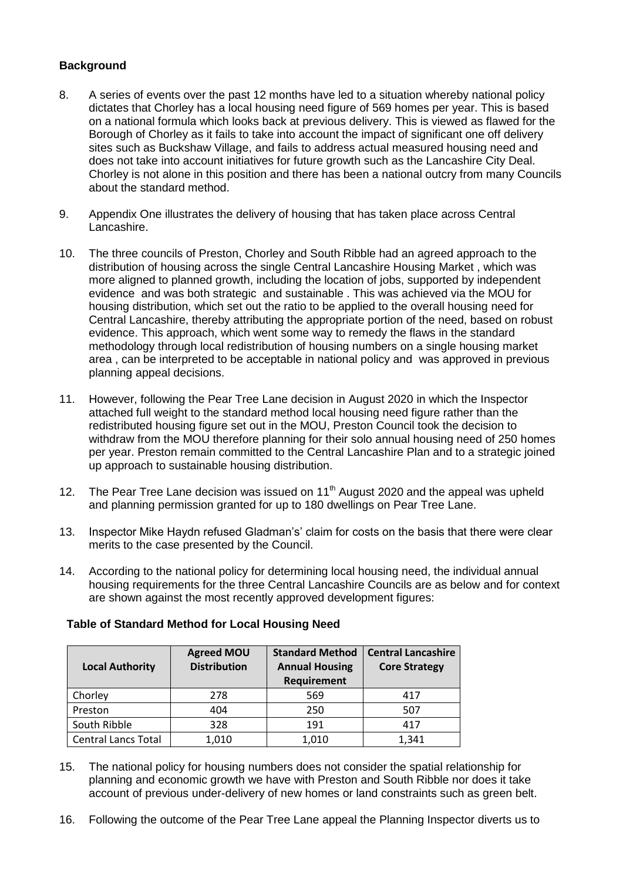# **Background**

- 8. A series of events over the past 12 months have led to a situation whereby national policy dictates that Chorley has a local housing need figure of 569 homes per year. This is based on a national formula which looks back at previous delivery. This is viewed as flawed for the Borough of Chorley as it fails to take into account the impact of significant one off delivery sites such as Buckshaw Village, and fails to address actual measured housing need and does not take into account initiatives for future growth such as the Lancashire City Deal. Chorley is not alone in this position and there has been a national outcry from many Councils about the standard method.
- 9. Appendix One illustrates the delivery of housing that has taken place across Central Lancashire.
- 10. The three councils of Preston, Chorley and South Ribble had an agreed approach to the distribution of housing across the single Central Lancashire Housing Market , which was more aligned to planned growth, including the location of jobs, supported by independent evidence and was both strategic and sustainable . This was achieved via the MOU for housing distribution, which set out the ratio to be applied to the overall housing need for Central Lancashire, thereby attributing the appropriate portion of the need, based on robust evidence. This approach, which went some way to remedy the flaws in the standard methodology through local redistribution of housing numbers on a single housing market area , can be interpreted to be acceptable in national policy and was approved in previous planning appeal decisions.
- 11. However, following the Pear Tree Lane decision in August 2020 in which the Inspector attached full weight to the standard method local housing need figure rather than the redistributed housing figure set out in the MOU, Preston Council took the decision to withdraw from the MOU therefore planning for their solo annual housing need of 250 homes per year. Preston remain committed to the Central Lancashire Plan and to a strategic joined up approach to sustainable housing distribution.
- 12. The Pear Tree Lane decision was issued on  $11<sup>th</sup>$  August 2020 and the appeal was upheld and planning permission granted for up to 180 dwellings on Pear Tree Lane.
- 13. Inspector Mike Haydn refused Gladman's' claim for costs on the basis that there were clear merits to the case presented by the Council.
- 14. According to the national policy for determining local housing need, the individual annual housing requirements for the three Central Lancashire Councils are as below and for context are shown against the most recently approved development figures:

| <b>Local Authority</b>     | <b>Agreed MOU</b><br><b>Distribution</b> | <b>Standard Method</b><br><b>Annual Housing</b><br>Requirement | <b>Central Lancashire</b><br><b>Core Strategy</b> |
|----------------------------|------------------------------------------|----------------------------------------------------------------|---------------------------------------------------|
| Chorley                    | 278                                      | 569                                                            | 417                                               |
| Preston                    | 404                                      | 250                                                            | 507                                               |
| South Ribble               | 328                                      | 191                                                            | 417                                               |
| <b>Central Lancs Total</b> | 1,010                                    | 1,010                                                          | 1,341                                             |

#### **Table of Standard Method for Local Housing Need**

- 15. The national policy for housing numbers does not consider the spatial relationship for planning and economic growth we have with Preston and South Ribble nor does it take account of previous under-delivery of new homes or land constraints such as green belt.
- 16. Following the outcome of the Pear Tree Lane appeal the Planning Inspector diverts us to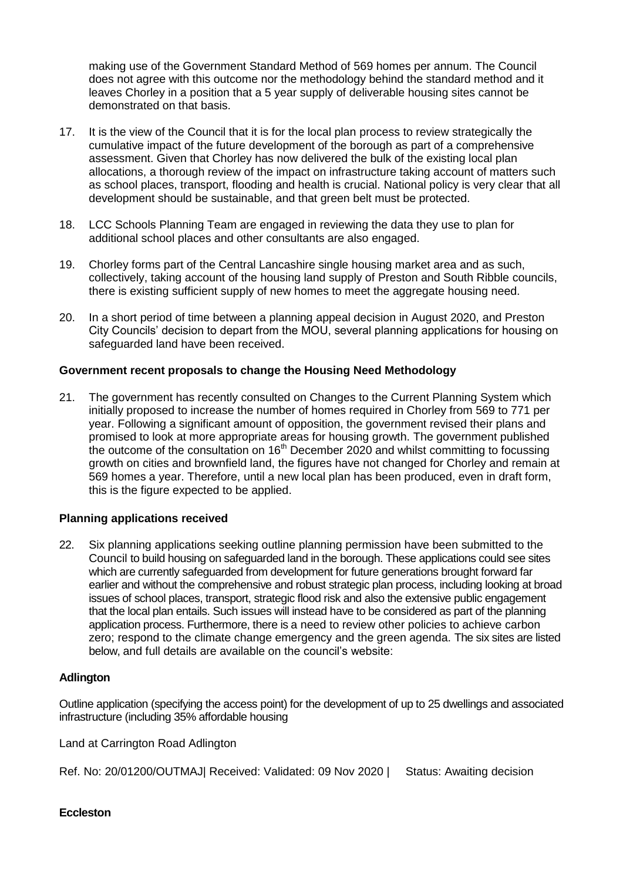making use of the Government Standard Method of 569 homes per annum. The Council does not agree with this outcome nor the methodology behind the standard method and it leaves Chorley in a position that a 5 year supply of deliverable housing sites cannot be demonstrated on that basis.

- 17. It is the view of the Council that it is for the local plan process to review strategically the cumulative impact of the future development of the borough as part of a comprehensive assessment. Given that Chorley has now delivered the bulk of the existing local plan allocations, a thorough review of the impact on infrastructure taking account of matters such as school places, transport, flooding and health is crucial. National policy is very clear that all development should be sustainable, and that green belt must be protected.
- 18. LCC Schools Planning Team are engaged in reviewing the data they use to plan for additional school places and other consultants are also engaged.
- 19. Chorley forms part of the Central Lancashire single housing market area and as such, collectively, taking account of the housing land supply of Preston and South Ribble councils, there is existing sufficient supply of new homes to meet the aggregate housing need.
- 20. In a short period of time between a planning appeal decision in August 2020, and Preston City Councils' decision to depart from the MOU, several planning applications for housing on safeguarded land have been received.

# **Government recent proposals to change the Housing Need Methodology**

21. The government has recently consulted on Changes to the Current Planning System which initially proposed to increase the number of homes required in Chorley from 569 to 771 per year. Following a significant amount of opposition, the government revised their plans and promised to look at more appropriate areas for housing growth. The government published the outcome of the consultation on 16<sup>th</sup> December 2020 and whilst committing to focussing growth on cities and brownfield land, the figures have not changed for Chorley and remain at 569 homes a year. Therefore, until a new local plan has been produced, even in draft form, this is the figure expected to be applied.

#### **Planning applications received**

22. Six planning applications seeking outline planning permission have been submitted to the Council to build housing on safeguarded land in the borough. These applications could see sites which are currently safeguarded from development for future generations brought forward far earlier and without the comprehensive and robust strategic plan process, including looking at broad issues of school places, transport, strategic flood risk and also the extensive public engagement that the local plan entails. Such issues will instead have to be considered as part of the planning application process. Furthermore, there is a need to review other policies to achieve carbon zero; respond to the climate change emergency and the green agenda. The six sites are listed below, and full details are available on the council's website:

#### **Adlington**

Outline application (specifying the access point) for the development of up to 25 dwellings and associated infrastructure (including 35% affordable housing

Land at Carrington Road Adlington

Ref. No: 20/01200/OUTMAJ Received: Validated: 09 Nov 2020 | Status: Awaiting decision

#### **Eccleston**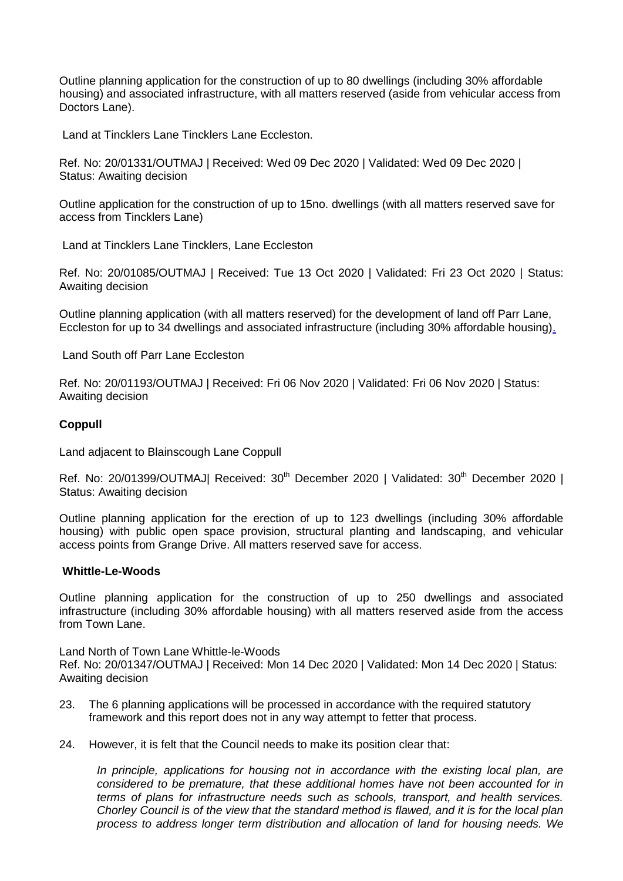[Outline planning application for the construction of up to 80 dwellings \(including 30% affordable](https://planning.chorley.gov.uk/online-applications/applicationDetails.do?keyVal=QL33DBETL5E00&activeTab=summary)  [housing\) and associated infrastructure, with all matters reserved \(aside from vehicular access from](https://planning.chorley.gov.uk/online-applications/applicationDetails.do?keyVal=QL33DBETL5E00&activeTab=summary)  [Doctors Lane\).](https://planning.chorley.gov.uk/online-applications/applicationDetails.do?keyVal=QL33DBETL5E00&activeTab=summary) 

Land at Tincklers Lane Tincklers Lane Eccleston.

Ref. No: 20/01331/OUTMAJ | Received: Wed 09 Dec 2020 | Validated: Wed 09 Dec 2020 | Status: Awaiting decision

[Outline application for the construction of up to 15no. dwellings \(with all matters reserved save for](https://planning.chorley.gov.uk/online-applications/applicationDetails.do?keyVal=QI5GKMETLSS00&activeTab=summary)  [access from Tincklers Lane\)](https://planning.chorley.gov.uk/online-applications/applicationDetails.do?keyVal=QI5GKMETLSS00&activeTab=summary) 

Land at Tincklers Lane Tincklers, Lane Eccleston

Ref. No: 20/01085/OUTMAJ | Received: Tue 13 Oct 2020 | Validated: Fri 23 Oct 2020 | Status: Awaiting decision

[Outline planning application \(with all matters reserved\) for the development of land off Parr Lane,](https://planning.chorley.gov.uk/online-applications/applicationDetails.do?keyVal=QJDZDYETGSB00&activeTab=summary)  [Eccleston for up to 34 dwellings and associated infrastructure \(including 30% affordable housing\).](https://planning.chorley.gov.uk/online-applications/applicationDetails.do?keyVal=QJDZDYETGSB00&activeTab=summary) 

Land South off Parr Lane Eccleston

Ref. No: 20/01193/OUTMAJ | Received: Fri 06 Nov 2020 | Validated: Fri 06 Nov 2020 | Status: Awaiting decision

#### **Coppull**

Land adjacent to Blainscough Lane Coppull

Ref. No: 20/01399/OUTMAJ| Received: 30<sup>th</sup> December 2020 | Validated: 30<sup>th</sup> December 2020 | Status: Awaiting decision

Outline planning application for the erection of up to 123 dwellings (including 30% affordable housing) with public open space provision, structural planting and landscaping, and vehicular access points from Grange Drive. All matters reserved save for access.

#### **Whittle-Le-Woods**

[Outline planning application for the construction of up to 250 dwellings and associated](https://planning.chorley.gov.uk/online-applications/applicationDetails.do?keyVal=QLCCPWETJ1C00&activeTab=summary)  [infrastructure \(including 30% affordable housing\) with all matters reserved aside from the access](https://planning.chorley.gov.uk/online-applications/applicationDetails.do?keyVal=QLCCPWETJ1C00&activeTab=summary)  [from Town Lane.](https://planning.chorley.gov.uk/online-applications/applicationDetails.do?keyVal=QLCCPWETJ1C00&activeTab=summary) 

Land North of Town Lane Whittle-le-Woods

Ref. No: 20/01347/OUTMAJ | Received: Mon 14 Dec 2020 | Validated: Mon 14 Dec 2020 | Status: Awaiting decision

- 23. The 6 planning applications will be processed in accordance with the required statutory framework and this report does not in any way attempt to fetter that process.
- 24. However, it is felt that the Council needs to make its position clear that:

*In principle, applications for housing not in accordance with the existing local plan, are considered to be premature, that these additional homes have not been accounted for in terms of plans for infrastructure needs such as schools, transport, and health services. Chorley Council is of the view that the standard method is flawed, and it is for the local plan process to address longer term distribution and allocation of land for housing needs. We*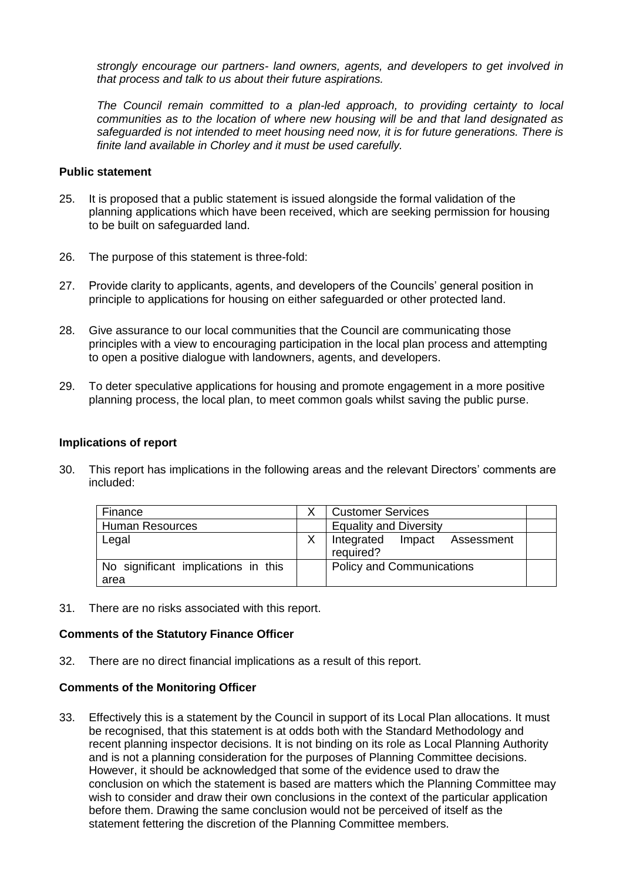*strongly encourage our partners- land owners, agents, and developers to get involved in that process and talk to us about their future aspirations.*

*The Council remain committed to a plan-led approach, to providing certainty to local communities as to the location of where new housing will be and that land designated as safeguarded is not intended to meet housing need now, it is for future generations. There is finite land available in Chorley and it must be used carefully.* 

#### **Public statement**

- 25. It is proposed that a public statement is issued alongside the formal validation of the planning applications which have been received, which are seeking permission for housing to be built on safeguarded land.
- 26. The purpose of this statement is three-fold:
- 27. Provide clarity to applicants, agents, and developers of the Councils' general position in principle to applications for housing on either safeguarded or other protected land.
- 28. Give assurance to our local communities that the Council are communicating those principles with a view to encouraging participation in the local plan process and attempting to open a positive dialogue with landowners, agents, and developers.
- 29. To deter speculative applications for housing and promote engagement in a more positive planning process, the local plan, to meet common goals whilst saving the public purse.

#### **Implications of report**

30. This report has implications in the following areas and the relevant Directors' comments are included:

| Finance                                     | <b>Customer Services</b>                  |  |
|---------------------------------------------|-------------------------------------------|--|
| <b>Human Resources</b>                      | <b>Equality and Diversity</b>             |  |
| Legal                                       | Integrated Impact Assessment<br>required? |  |
| No significant implications in this<br>area | <b>Policy and Communications</b>          |  |

31. There are no risks associated with this report.

#### **Comments of the Statutory Finance Officer**

32. There are no direct financial implications as a result of this report.

#### **Comments of the Monitoring Officer**

33. Effectively this is a statement by the Council in support of its Local Plan allocations. It must be recognised, that this statement is at odds both with the Standard Methodology and recent planning inspector decisions. It is not binding on its role as Local Planning Authority and is not a planning consideration for the purposes of Planning Committee decisions. However, it should be acknowledged that some of the evidence used to draw the conclusion on which the statement is based are matters which the Planning Committee may wish to consider and draw their own conclusions in the context of the particular application before them. Drawing the same conclusion would not be perceived of itself as the statement fettering the discretion of the Planning Committee members.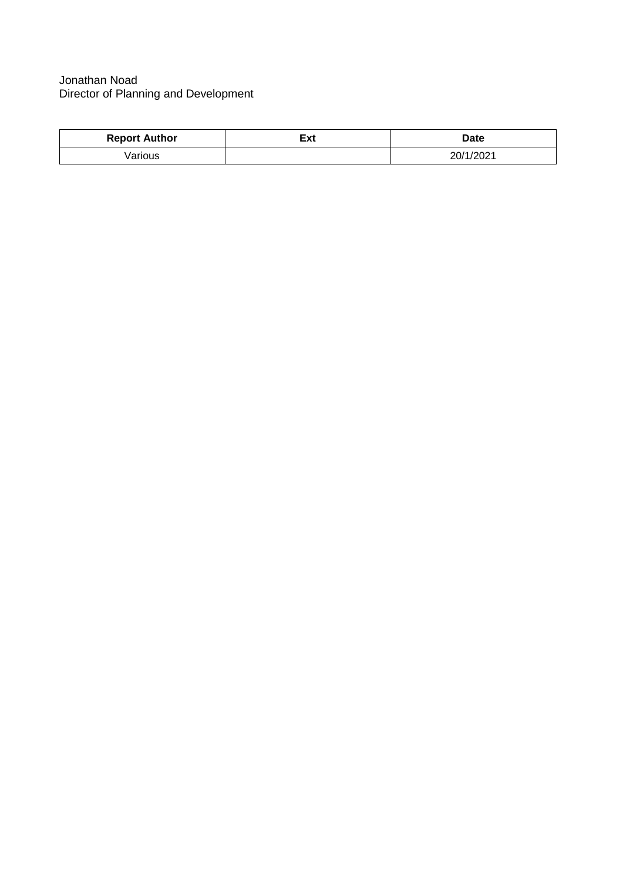# Jonathan Noad Director of Planning and Development

| <b>Report Author</b> | ≂⊶<br>ີ∽ | <b>Date</b> |
|----------------------|----------|-------------|
| arious               |          | 20/1/2021   |